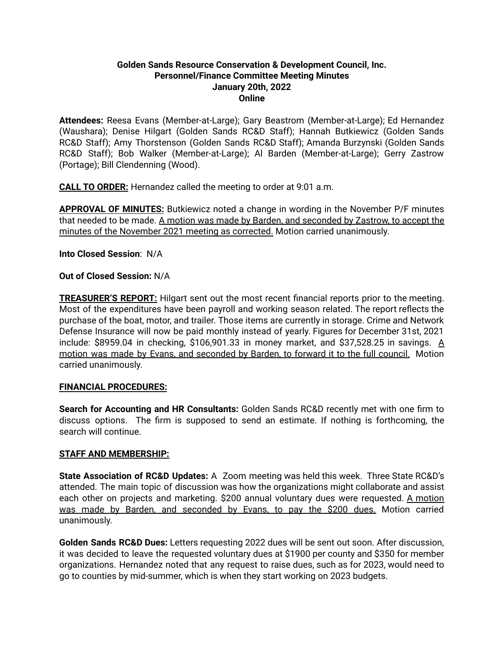#### **Golden Sands Resource Conservation & Development Council, Inc. Personnel/Finance Committee Meeting Minutes January 20th, 2022 Online**

**Attendees:** Reesa Evans (Member-at-Large); Gary Beastrom (Member-at-Large); Ed Hernandez (Waushara); Denise Hilgart (Golden Sands RC&D Staff); Hannah Butkiewicz (Golden Sands RC&D Staff); Amy Thorstenson (Golden Sands RC&D Staff); Amanda Burzynski (Golden Sands RC&D Staff); Bob Walker (Member-at-Large); Al Barden (Member-at-Large); Gerry Zastrow (Portage); Bill Clendenning (Wood).

**CALL TO ORDER:** Hernandez called the meeting to order at 9:01 a.m.

**APPROVAL OF MINUTES:** Butkiewicz noted a change in wording in the November P/F minutes that needed to be made. A motion was made by Barden, and seconded by Zastrow, to accept the minutes of the November 2021 meeting as corrected. Motion carried unanimously.

**Into Closed Session**: N/A

# **Out of Closed Session:** N/A

**TREASURER'S REPORT:** Hilgart sent out the most recent financial reports prior to the meeting. Most of the expenditures have been payroll and working season related. The report reflects the purchase of the boat, motor, and trailer. Those items are currently in storage. Crime and Network Defense Insurance will now be paid monthly instead of yearly. Figures for December 31st, 2021 include: \$8959.04 in checking, \$106,901.33 in money market, and \$37,528.25 in savings. A motion was made by Evans, and seconded by Barden, to forward it to the full council. Motion carried unanimously.

# **FINANCIAL PROCEDURES:**

**Search for Accounting and HR Consultants:** Golden Sands RC&D recently met with one firm to discuss options. The firm is supposed to send an estimate. If nothing is forthcoming, the search will continue.

# **STAFF AND MEMBERSHIP:**

**State Association of RC&D Updates:** A Zoom meeting was held this week. Three State RC&D's attended. The main topic of discussion was how the organizations might collaborate and assist each other on projects and marketing. \$200 annual voluntary dues were requested. A motion was made by Barden, and seconded by Evans, to pay the \$200 dues. Motion carried unanimously.

**Golden Sands RC&D Dues:** Letters requesting 2022 dues will be sent out soon. After discussion, it was decided to leave the requested voluntary dues at \$1900 per county and \$350 for member organizations. Hernandez noted that any request to raise dues, such as for 2023, would need to go to counties by mid-summer, which is when they start working on 2023 budgets.